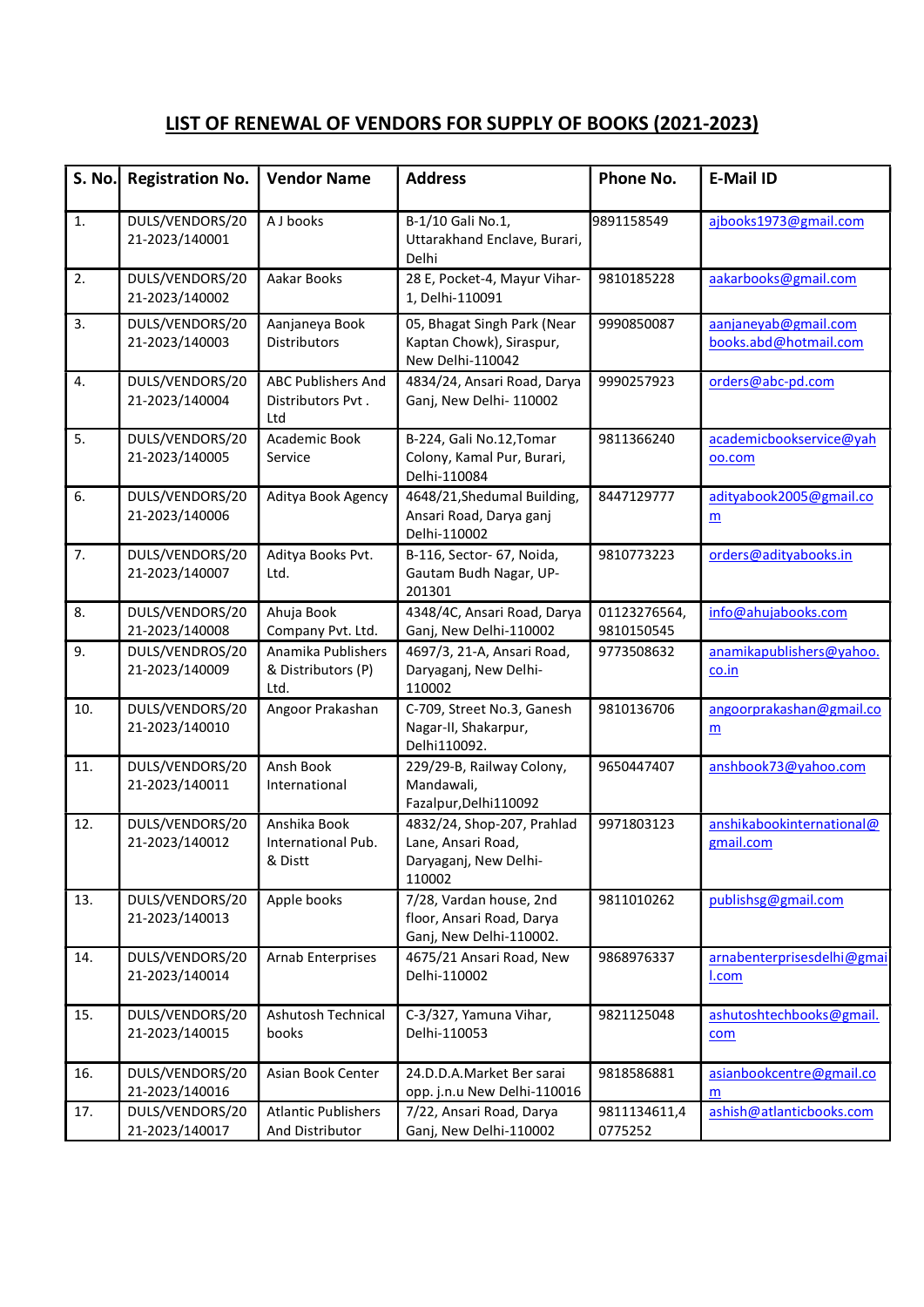| S. No. | <b>Registration No.</b>           | <b>Vendor Name</b>                                    | <b>Address</b>                                                                      | Phone No.                  | <b>E-Mail ID</b>                              |
|--------|-----------------------------------|-------------------------------------------------------|-------------------------------------------------------------------------------------|----------------------------|-----------------------------------------------|
| 1.     | DULS/VENDORS/20<br>21-2023/140001 | A J books                                             | B-1/10 Gali No.1,<br>Uttarakhand Enclave, Burari,<br>Delhi                          | 9891158549                 | ajbooks1973@gmail.com                         |
| 2.     | DULS/VENDORS/20<br>21-2023/140002 | Aakar Books                                           | 28 E, Pocket-4, Mayur Vihar-<br>1, Delhi-110091                                     | 9810185228                 | aakarbooks@gmail.com                          |
| 3.     | DULS/VENDORS/20<br>21-2023/140003 | Aanjaneya Book<br><b>Distributors</b>                 | 05, Bhagat Singh Park (Near<br>Kaptan Chowk), Siraspur,<br>New Delhi-110042         | 9990850087                 | aanjaneyab@gmail.com<br>books.abd@hotmail.com |
| 4.     | DULS/VENDORS/20<br>21-2023/140004 | <b>ABC Publishers And</b><br>Distributors Pvt.<br>Ltd | 4834/24, Ansari Road, Darya<br>Ganj, New Delhi-110002                               | 9990257923                 | orders@abc-pd.com                             |
| 5.     | DULS/VENDORS/20<br>21-2023/140005 | Academic Book<br>Service                              | B-224, Gali No.12, Tomar<br>Colony, Kamal Pur, Burari,<br>Delhi-110084              | 9811366240                 | academicbookservice@yah<br>oo.com             |
| 6.     | DULS/VENDORS/20<br>21-2023/140006 | Aditya Book Agency                                    | 4648/21, Shedumal Building,<br>Ansari Road, Darya ganj<br>Delhi-110002              | 8447129777                 | adityabook2005@gmail.co<br>m                  |
| 7.     | DULS/VENDORS/20<br>21-2023/140007 | Aditya Books Pvt.<br>Ltd.                             | B-116, Sector- 67, Noida,<br>Gautam Budh Nagar, UP-<br>201301                       | 9810773223                 | orders@adityabooks.in                         |
| 8.     | DULS/VENDORS/20<br>21-2023/140008 | Ahuja Book<br>Company Pvt. Ltd.                       | 4348/4C, Ansari Road, Darya<br>Ganj, New Delhi-110002                               | 01123276564,<br>9810150545 | info@ahujabooks.com                           |
| 9.     | DULS/VENDROS/20<br>21-2023/140009 | Anamika Publishers<br>& Distributors (P)<br>Ltd.      | 4697/3, 21-A, Ansari Road,<br>Daryaganj, New Delhi-<br>110002                       | 9773508632                 | anamikapublishers@yahoo.<br>co.in             |
| 10.    | DULS/VENDORS/20<br>21-2023/140010 | Angoor Prakashan                                      | C-709, Street No.3, Ganesh<br>Nagar-II, Shakarpur,<br>Delhi110092.                  | 9810136706                 | angoorprakashan@gmail.co<br>$\underline{m}$   |
| 11.    | DULS/VENDORS/20<br>21-2023/140011 | Ansh Book<br>International                            | 229/29-B, Railway Colony,<br>Mandawali,<br>Fazalpur, Delhi110092                    | 9650447407                 | anshbook73@yahoo.com                          |
| 12.    | DULS/VENDORS/20<br>21-2023/140012 | Anshika Book<br>International Pub.<br>& Distt         | 4832/24, Shop-207, Prahlad<br>Lane, Ansari Road,<br>Daryaganj, New Delhi-<br>110002 | 9971803123                 | anshikabookinternational@<br>gmail.com        |
| 13.    | DULS/VENDORS/20<br>21-2023/140013 | Apple books                                           | 7/28, Vardan house, 2nd<br>floor, Ansari Road, Darya<br>Ganj, New Delhi-110002.     | 9811010262                 | publishsg@gmail.com                           |
| 14.    | DULS/VENDORS/20<br>21-2023/140014 | Arnab Enterprises                                     | 4675/21 Ansari Road, New<br>Delhi-110002                                            | 9868976337                 | arnabenterprisesdelhi@gmai<br>I.com           |
| 15.    | DULS/VENDORS/20<br>21-2023/140015 | Ashutosh Technical<br>books                           | C-3/327, Yamuna Vihar,<br>Delhi-110053                                              | 9821125048                 | ashutoshtechbooks@gmail.<br>com               |
| 16.    | DULS/VENDORS/20<br>21-2023/140016 | Asian Book Center                                     | 24.D.D.A.Market Ber sarai<br>opp. j.n.u New Delhi-110016                            | 9818586881                 | asianbookcentre@gmail.co<br>m                 |
| 17.    | DULS/VENDORS/20<br>21-2023/140017 | <b>Atlantic Publishers</b><br>And Distributor         | 7/22, Ansari Road, Darya<br>Ganj, New Delhi-110002                                  | 9811134611,4<br>0775252    | ashish@atlanticbooks.com                      |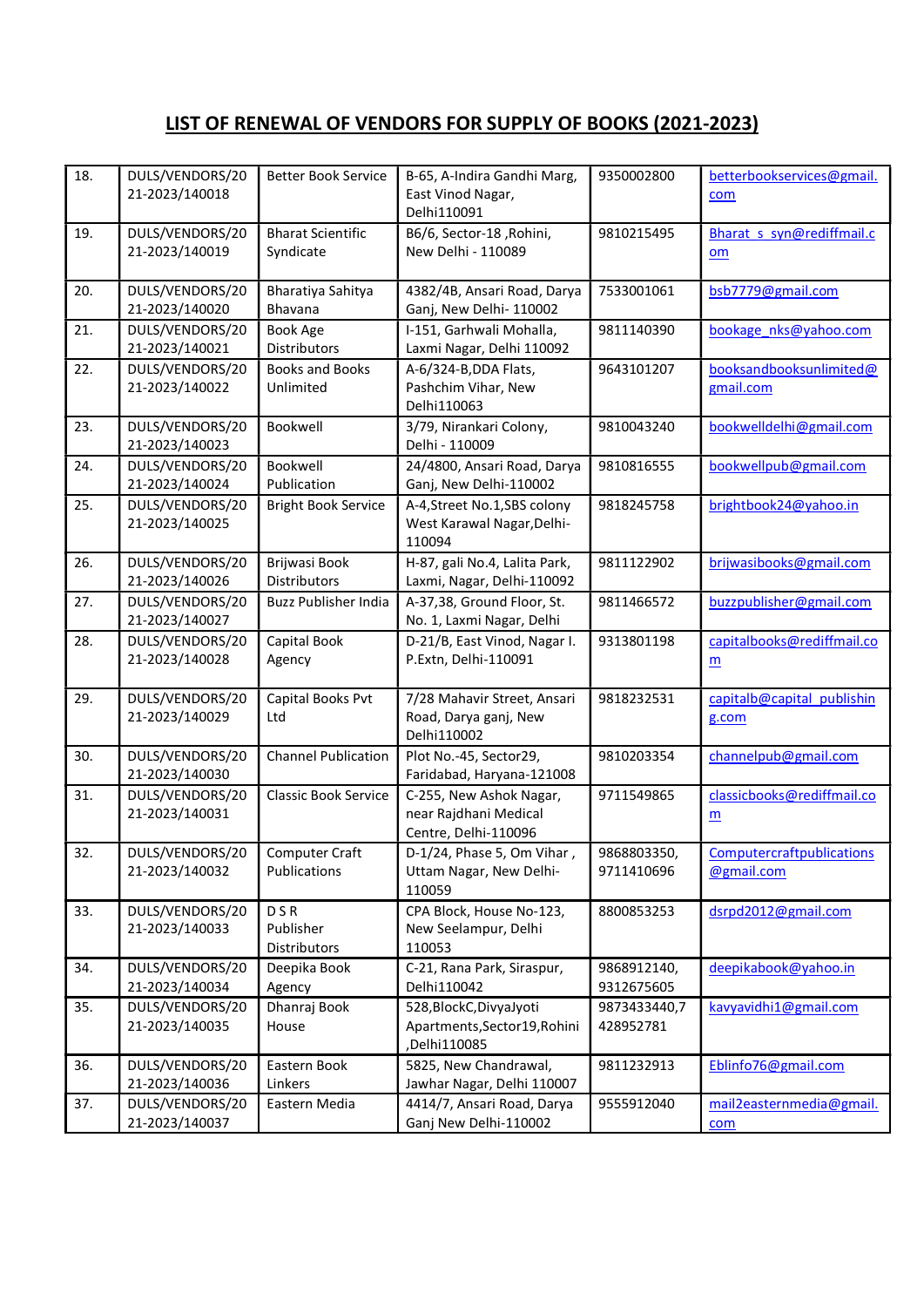| 18. | DULS/VENDORS/20<br>21-2023/140018 | <b>Better Book Service</b>              | B-65, A-Indira Gandhi Marg,<br>East Vinod Nagar,<br>Delhi110091           | 9350002800                | betterbookservices@gmail.<br>com               |
|-----|-----------------------------------|-----------------------------------------|---------------------------------------------------------------------------|---------------------------|------------------------------------------------|
| 19. | DULS/VENDORS/20<br>21-2023/140019 | <b>Bharat Scientific</b><br>Syndicate   | B6/6, Sector-18, Rohini,<br>New Delhi - 110089                            | 9810215495                | Bharat s syn@rediffmail.c<br>om                |
| 20. | DULS/VENDORS/20<br>21-2023/140020 | Bharatiya Sahitya<br>Bhavana            | 4382/4B, Ansari Road, Darya<br>Ganj, New Delhi- 110002                    | 7533001061                | bsb7779@gmail.com                              |
| 21. | DULS/VENDORS/20<br>21-2023/140021 | <b>Book Age</b><br>Distributors         | I-151, Garhwali Mohalla,<br>Laxmi Nagar, Delhi 110092                     | 9811140390                | bookage nks@yahoo.com                          |
| 22. | DULS/VENDORS/20<br>21-2023/140022 | <b>Books and Books</b><br>Unlimited     | A-6/324-B, DDA Flats,<br>Pashchim Vihar, New<br>Delhi110063               | 9643101207                | booksandbooksunlimited@<br>gmail.com           |
| 23. | DULS/VENDORS/20<br>21-2023/140023 | Bookwell                                | 3/79, Nirankari Colony,<br>Delhi - 110009                                 | 9810043240                | bookwelldelhi@gmail.com                        |
| 24. | DULS/VENDORS/20<br>21-2023/140024 | Bookwell<br>Publication                 | 24/4800, Ansari Road, Darya<br>Ganj, New Delhi-110002                     | 9810816555                | bookwellpub@gmail.com                          |
| 25. | DULS/VENDORS/20<br>21-2023/140025 | <b>Bright Book Service</b>              | A-4, Street No.1, SBS colony<br>West Karawal Nagar, Delhi-<br>110094      | 9818245758                | brightbook24@yahoo.in                          |
| 26. | DULS/VENDORS/20<br>21-2023/140026 | Brijwasi Book<br>Distributors           | H-87, gali No.4, Lalita Park,<br>Laxmi, Nagar, Delhi-110092               | 9811122902                | brijwasibooks@gmail.com                        |
| 27. | DULS/VENDORS/20<br>21-2023/140027 | <b>Buzz Publisher India</b>             | A-37,38, Ground Floor, St.<br>No. 1, Laxmi Nagar, Delhi                   | 9811466572                | buzzpublisher@gmail.com                        |
| 28. | DULS/VENDORS/20<br>21-2023/140028 | Capital Book<br>Agency                  | D-21/B, East Vinod, Nagar I.<br>P.Extn, Delhi-110091                      | 9313801198                | capitalbooks@rediffmail.co<br>m                |
| 29. | DULS/VENDORS/20<br>21-2023/140029 | Capital Books Pvt<br>Ltd                | 7/28 Mahavir Street, Ansari<br>Road, Darya ganj, New<br>Delhi110002       | 9818232531                | capitalb@capital publishin<br>g.com            |
| 30. | DULS/VENDORS/20<br>21-2023/140030 | <b>Channel Publication</b>              | Plot No.-45, Sector29,<br>Faridabad, Haryana-121008                       | 9810203354                | channelpub@gmail.com                           |
| 31. | DULS/VENDORS/20<br>21-2023/140031 | <b>Classic Book Service</b>             | C-255, New Ashok Nagar,<br>near Rajdhani Medical<br>Centre, Delhi-110096  | 9711549865                | classicbooks@rediffmail.co<br>m                |
| 32. | DULS/VENDORS/20<br>21-2023/140032 | Computer Craft<br>Publications          | D-1/24. Phase 5. Om Vihar.<br>Uttam Nagar, New Delhi-<br>110059           | 9868803350,<br>9711410696 | <b>Computercraftpublications</b><br>@gmail.com |
| 33. | DULS/VENDORS/20<br>21-2023/140033 | <b>DSR</b><br>Publisher<br>Distributors | CPA Block, House No-123,<br>New Seelampur, Delhi<br>110053                | 8800853253                | dsrpd2012@gmail.com                            |
| 34. | DULS/VENDORS/20<br>21-2023/140034 | Deepika Book<br>Agency                  | C-21, Rana Park, Siraspur,<br>Delhi110042                                 | 9868912140,<br>9312675605 | deepikabook@yahoo.in                           |
| 35. | DULS/VENDORS/20<br>21-2023/140035 | Dhanraj Book<br>House                   | 528, Block C, DivyaJyoti<br>Apartments, Sector 19, Rohini<br>,Delhi110085 | 9873433440,7<br>428952781 | kavyavidhi1@gmail.com                          |
| 36. | DULS/VENDORS/20<br>21-2023/140036 | Eastern Book<br>Linkers                 | 5825, New Chandrawal,<br>Jawhar Nagar, Delhi 110007                       | 9811232913                | Eblinfo76@gmail.com                            |
| 37. | DULS/VENDORS/20<br>21-2023/140037 | Eastern Media                           | 4414/7, Ansari Road, Darya<br>Ganj New Delhi-110002                       | 9555912040                | mail2easternmedia@gmail.<br>com                |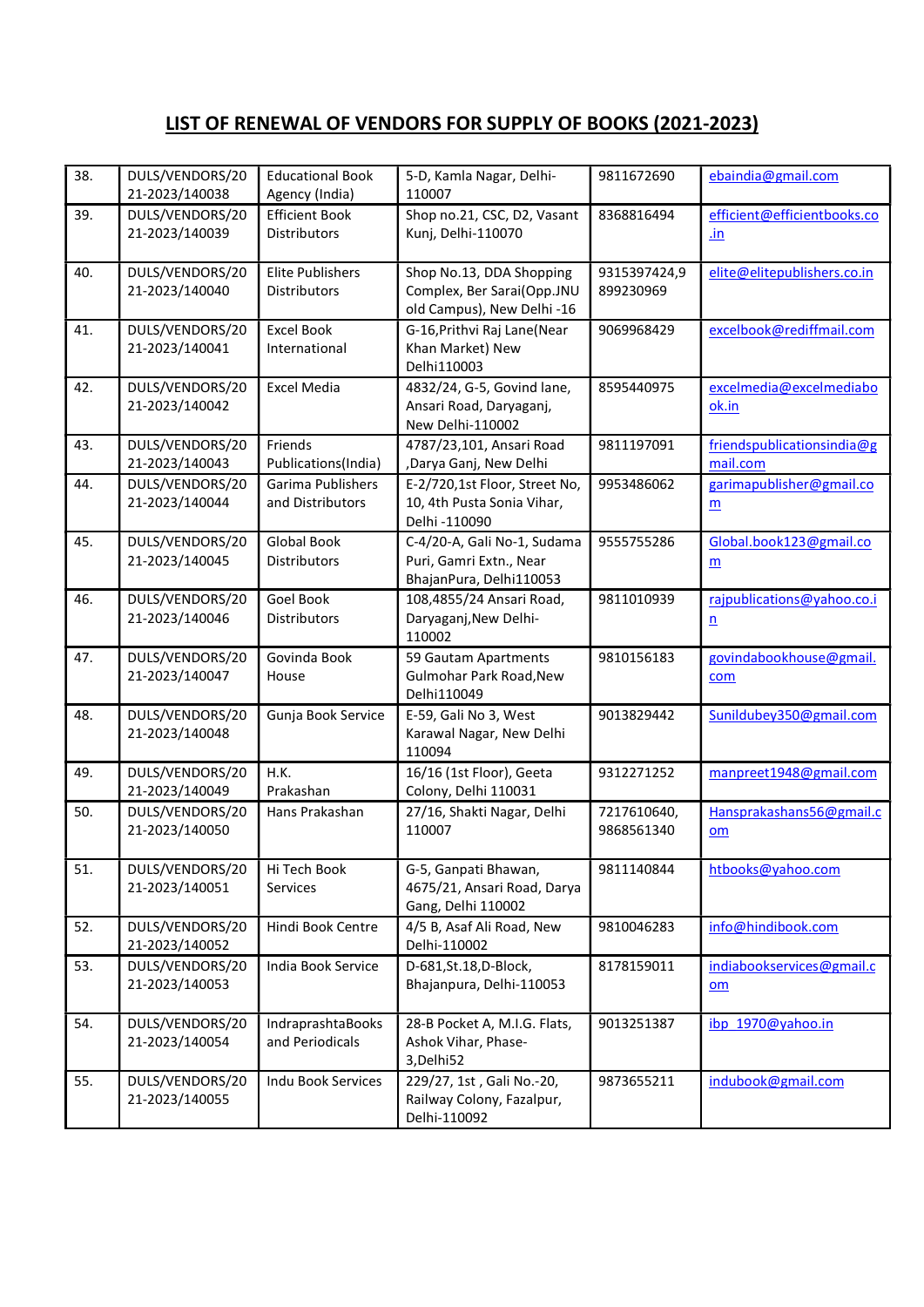| 38. | DULS/VENDORS/20<br>21-2023/140038 | <b>Educational Book</b><br>Agency (India) | 5-D, Kamla Nagar, Delhi-<br>110007                                                   | 9811672690                | ebaindia@gmail.com                     |
|-----|-----------------------------------|-------------------------------------------|--------------------------------------------------------------------------------------|---------------------------|----------------------------------------|
| 39. | DULS/VENDORS/20<br>21-2023/140039 | <b>Efficient Book</b><br>Distributors     | Shop no.21, CSC, D2, Vasant<br>Kunj, Delhi-110070                                    | 8368816494                | efficient@efficientbooks.co<br>.in     |
| 40. | DULS/VENDORS/20<br>21-2023/140040 | <b>Elite Publishers</b><br>Distributors   | Shop No.13, DDA Shopping<br>Complex, Ber Sarai(Opp.JNU<br>old Campus), New Delhi -16 | 9315397424,9<br>899230969 | elite@elitepublishers.co.in            |
| 41. | DULS/VENDORS/20<br>21-2023/140041 | <b>Excel Book</b><br>International        | G-16, Prithvi Raj Lane (Near<br>Khan Market) New<br>Delhi110003                      | 9069968429                | excelbook@rediffmail.com               |
| 42. | DULS/VENDORS/20<br>21-2023/140042 | <b>Excel Media</b>                        | 4832/24, G-5, Govind lane,<br>Ansari Road, Daryaganj,<br>New Delhi-110002            | 8595440975                | excelmedia@excelmediabo<br>ok.in       |
| 43. | DULS/VENDORS/20<br>21-2023/140043 | Friends<br>Publications(India)            | 4787/23,101, Ansari Road<br>,Darya Ganj, New Delhi                                   | 9811197091                | friendspublicationsindia@g<br>mail.com |
| 44. | DULS/VENDORS/20<br>21-2023/140044 | Garima Publishers<br>and Distributors     | E-2/720,1st Floor, Street No,<br>10, 4th Pusta Sonia Vihar,<br>Delhi -110090         | 9953486062                | garimapublisher@gmail.co<br>m          |
| 45. | DULS/VENDORS/20<br>21-2023/140045 | <b>Global Book</b><br><b>Distributors</b> | C-4/20-A, Gali No-1, Sudama<br>Puri, Gamri Extn., Near<br>BhajanPura, Delhi110053    | 9555755286                | Global.book123@gmail.co<br>m           |
| 46. | DULS/VENDORS/20<br>21-2023/140046 | Goel Book<br>Distributors                 | 108,4855/24 Ansari Road,<br>Daryaganj, New Delhi-<br>110002                          | 9811010939                | rajpublications@yahoo.co.i<br>n        |
| 47. | DULS/VENDORS/20<br>21-2023/140047 | Govinda Book<br>House                     | 59 Gautam Apartments<br>Gulmohar Park Road, New<br>Delhi110049                       | 9810156183                | govindabookhouse@gmail.<br>com         |
| 48. | DULS/VENDORS/20<br>21-2023/140048 | Gunja Book Service                        | E-59, Gali No 3, West<br>Karawal Nagar, New Delhi<br>110094                          | 9013829442                | Sunildubey350@gmail.com                |
| 49. | DULS/VENDORS/20<br>21-2023/140049 | <b>H.K.</b><br>Prakashan                  | 16/16 (1st Floor), Geeta<br>Colony, Delhi 110031                                     | 9312271252                | manpreet1948@gmail.com                 |
| 50. | DULS/VENDORS/20<br>21-2023/140050 | Hans Prakashan                            | 27/16, Shakti Nagar, Delhi<br>110007                                                 | 7217610640,<br>9868561340 | Hansprakashans56@gmail.c<br>om         |
| 51. | DULS/VENDORS/20<br>21-2023/140051 | Hi Tech Book<br>Services                  | G-5, Ganpati Bhawan,<br>4675/21, Ansari Road, Darya<br>Gang, Delhi 110002            | 9811140844                | htbooks@yahoo.com                      |
| 52. | DULS/VENDORS/20<br>21-2023/140052 | Hindi Book Centre                         | 4/5 B, Asaf Ali Road, New<br>Delhi-110002                                            | 9810046283                | info@hindibook.com                     |
| 53. | DULS/VENDORS/20<br>21-2023/140053 | India Book Service                        | D-681, St. 18, D-Block,<br>Bhajanpura, Delhi-110053                                  | 8178159011                | indiabookservices@gmail.c<br>om        |
| 54. | DULS/VENDORS/20<br>21-2023/140054 | IndraprashtaBooks<br>and Periodicals      | 28-B Pocket A, M.I.G. Flats,<br>Ashok Vihar, Phase-<br>3, Delhi 52                   | 9013251387                | ibp 1970@yahoo.in                      |
| 55. | DULS/VENDORS/20<br>21-2023/140055 | Indu Book Services                        | 229/27, 1st, Gali No.-20,<br>Railway Colony, Fazalpur,<br>Delhi-110092               | 9873655211                | indubook@gmail.com                     |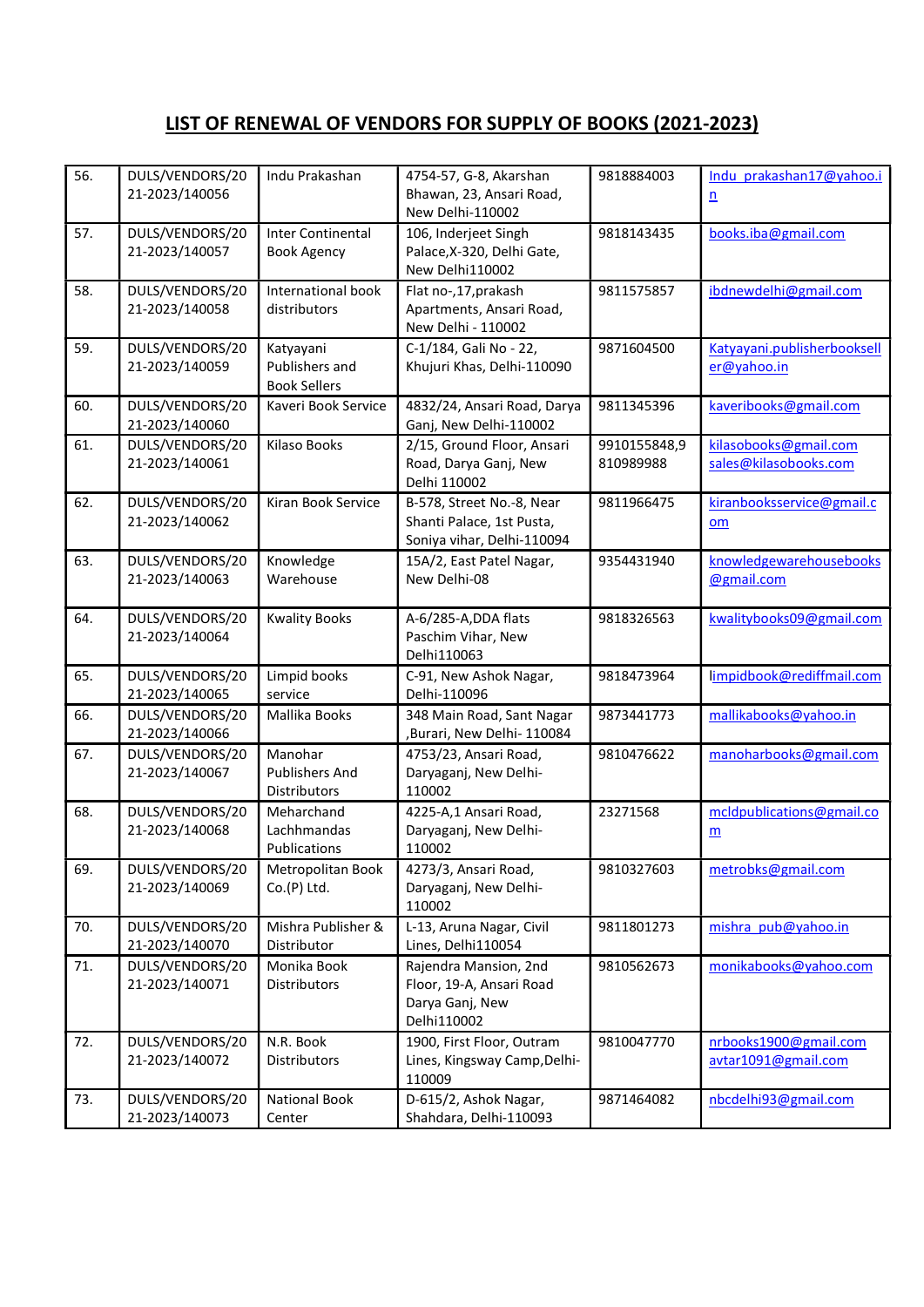| 56. | DULS/VENDORS/20<br>21-2023/140056 | Indu Prakashan                                          | 4754-57, G-8, Akarshan<br>Bhawan, 23, Ansari Road,<br>New Delhi-110002               | 9818884003                | Indu prakashan17@yahoo.i<br>$\underline{n}$    |
|-----|-----------------------------------|---------------------------------------------------------|--------------------------------------------------------------------------------------|---------------------------|------------------------------------------------|
| 57. | DULS/VENDORS/20<br>21-2023/140057 | <b>Inter Continental</b><br><b>Book Agency</b>          | 106, Inderjeet Singh<br>Palace, X-320, Delhi Gate,<br>New Delhi110002                | 9818143435                | books.iba@gmail.com                            |
| 58. | DULS/VENDORS/20<br>21-2023/140058 | International book<br>distributors                      | Flat no-, 17, prakash<br>Apartments, Ansari Road,<br>New Delhi - 110002              | 9811575857                | ibdnewdelhi@gmail.com                          |
| 59. | DULS/VENDORS/20<br>21-2023/140059 | Katyayani<br>Publishers and<br><b>Book Sellers</b>      | C-1/184, Gali No - 22,<br>Khujuri Khas, Delhi-110090                                 | 9871604500                | Katyayani.publisherbooksell<br>er@yahoo.in     |
| 60. | DULS/VENDORS/20<br>21-2023/140060 | Kaveri Book Service                                     | 4832/24, Ansari Road, Darya<br>Ganj, New Delhi-110002                                | 9811345396                | kaveribooks@gmail.com                          |
| 61. | DULS/VENDORS/20<br>21-2023/140061 | <b>Kilaso Books</b>                                     | 2/15, Ground Floor, Ansari<br>Road, Darya Ganj, New<br>Delhi 110002                  | 9910155848,9<br>810989988 | kilasobooks@gmail.com<br>sales@kilasobooks.com |
| 62. | DULS/VENDORS/20<br>21-2023/140062 | Kiran Book Service                                      | B-578, Street No.-8, Near<br>Shanti Palace, 1st Pusta,<br>Soniya vihar, Delhi-110094 | 9811966475                | kiranbooksservice@gmail.c<br>om                |
| 63. | DULS/VENDORS/20<br>21-2023/140063 | Knowledge<br>Warehouse                                  | 15A/2, East Patel Nagar,<br>New Delhi-08                                             | 9354431940                | knowledgewarehousebooks<br>@gmail.com          |
| 64. | DULS/VENDORS/20<br>21-2023/140064 | <b>Kwality Books</b>                                    | A-6/285-A, DDA flats<br>Paschim Vihar, New<br>Delhi110063                            | 9818326563                | kwalitybooks09@gmail.com                       |
| 65. | DULS/VENDORS/20<br>21-2023/140065 | Limpid books<br>service                                 | C-91, New Ashok Nagar,<br>Delhi-110096                                               | 9818473964                | limpidbook@rediffmail.com                      |
| 66. | DULS/VENDORS/20<br>21-2023/140066 | Mallika Books                                           | 348 Main Road, Sant Nagar<br>,Burari, New Delhi- 110084                              | 9873441773                | mallikabooks@yahoo.in                          |
| 67. | DULS/VENDORS/20<br>21-2023/140067 | Manohar<br><b>Publishers And</b><br><b>Distributors</b> | 4753/23, Ansari Road,<br>Daryaganj, New Delhi-<br>110002                             | 9810476622                | manoharbooks@gmail.com                         |
| 68. | DULS/VENDORS/20<br>21-2023/140068 | Meharchand<br>Lachhmandas<br>Publications               | 4225-A,1 Ansari Road,<br>Daryaganj, New Delhi-<br>110002                             | 23271568                  | mcldpublications@gmail.co<br>$\underline{m}$   |
| 69. | DULS/VENDORS/20<br>21-2023/140069 | Metropolitan Book<br>$Co.(P)$ Ltd.                      | 4273/3, Ansari Road,<br>Daryaganj, New Delhi-<br>110002                              | 9810327603                | metrobks@gmail.com                             |
| 70. | DULS/VENDORS/20<br>21-2023/140070 | Mishra Publisher &<br>Distributor                       | L-13, Aruna Nagar, Civil<br>Lines, Delhi110054                                       | 9811801273                | mishra pub@yahoo.in                            |
| 71. | DULS/VENDORS/20<br>21-2023/140071 | Monika Book<br>Distributors                             | Rajendra Mansion, 2nd<br>Floor, 19-A, Ansari Road<br>Darya Ganj, New<br>Delhi110002  | 9810562673                | monikabooks@yahoo.com                          |
| 72. | DULS/VENDORS/20<br>21-2023/140072 | N.R. Book<br><b>Distributors</b>                        | 1900, First Floor, Outram<br>Lines, Kingsway Camp, Delhi-<br>110009                  | 9810047770                | nrbooks1900@gmail.com<br>avtar1091@gmail.com   |
| 73. | DULS/VENDORS/20<br>21-2023/140073 | National Book<br>Center                                 | D-615/2, Ashok Nagar,<br>Shahdara, Delhi-110093                                      | 9871464082                | nbcdelhi93@gmail.com                           |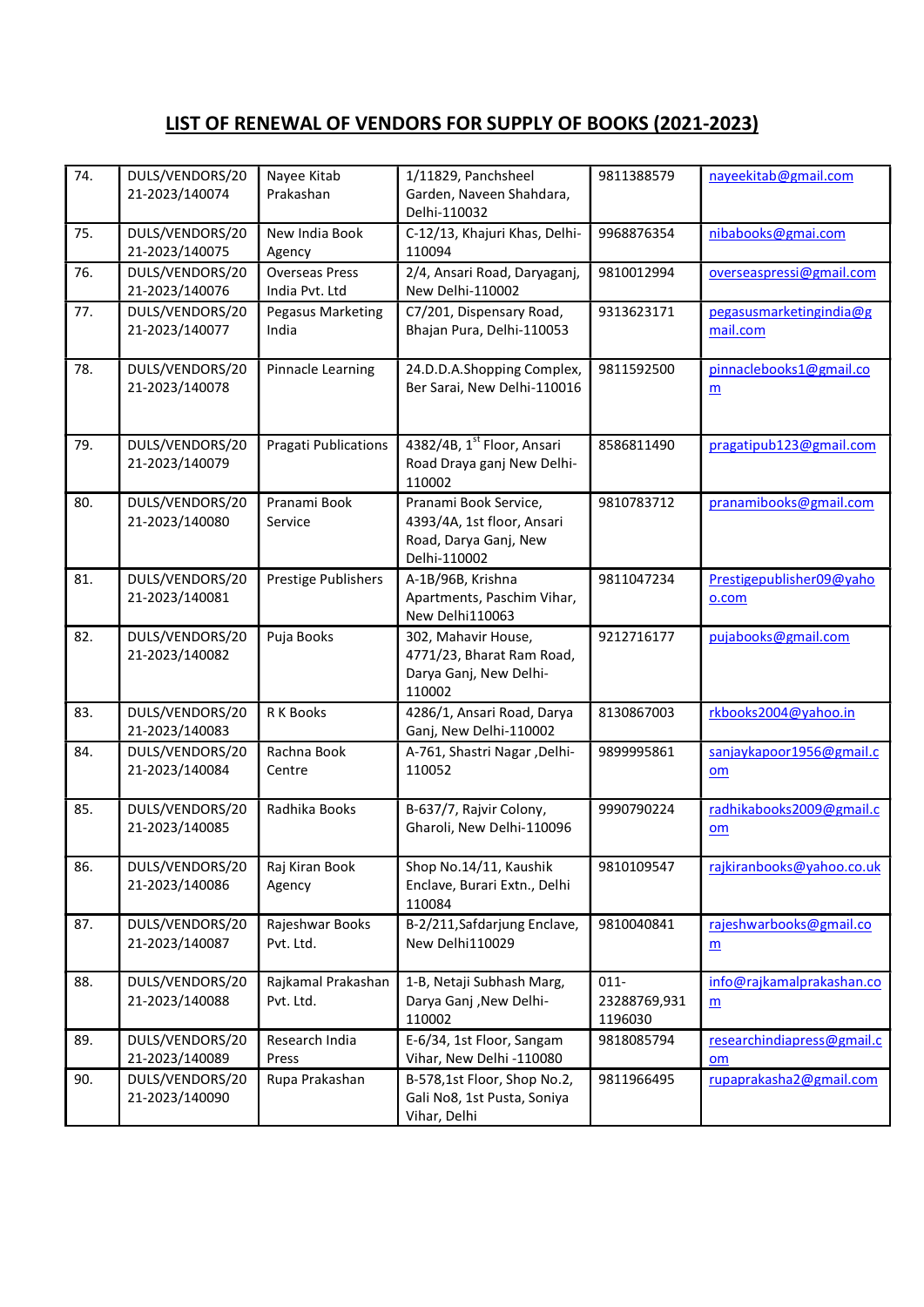| 74. | DULS/VENDORS/20<br>21-2023/140074 | Nayee Kitab<br>Prakashan                | 1/11829, Panchsheel<br>Garden, Naveen Shahdara,<br>Delhi-110032                              | 9811388579                         | nayeekitab@gmail.com                         |
|-----|-----------------------------------|-----------------------------------------|----------------------------------------------------------------------------------------------|------------------------------------|----------------------------------------------|
| 75. | DULS/VENDORS/20<br>21-2023/140075 | New India Book<br>Agency                | C-12/13, Khajuri Khas, Delhi-<br>110094                                                      | 9968876354                         | nibabooks@gmai.com                           |
| 76. | DULS/VENDORS/20<br>21-2023/140076 | <b>Overseas Press</b><br>India Pvt. Ltd | 2/4, Ansari Road, Daryaganj,<br>New Delhi-110002                                             | 9810012994                         | overseaspressi@gmail.com                     |
| 77. | DULS/VENDORS/20<br>21-2023/140077 | Pegasus Marketing<br>India              | C7/201, Dispensary Road,<br>Bhajan Pura, Delhi-110053                                        | 9313623171                         | pegasusmarketingindia@g<br>mail.com          |
| 78. | DULS/VENDORS/20<br>21-2023/140078 | Pinnacle Learning                       | 24.D.D.A.Shopping Complex,<br>Ber Sarai, New Delhi-110016                                    | 9811592500                         | pinnaclebooks1@gmail.co<br>$\underline{m}$   |
| 79. | DULS/VENDORS/20<br>21-2023/140079 | <b>Pragati Publications</b>             | 4382/4B, 1st Floor, Ansari<br>Road Draya ganj New Delhi-<br>110002                           | 8586811490                         | pragatipub123@gmail.com                      |
| 80. | DULS/VENDORS/20<br>21-2023/140080 | Pranami Book<br>Service                 | Pranami Book Service,<br>4393/4A, 1st floor, Ansari<br>Road, Darya Ganj, New<br>Delhi-110002 | 9810783712                         | pranamibooks@gmail.com                       |
| 81. | DULS/VENDORS/20<br>21-2023/140081 | Prestige Publishers                     | A-1B/96B, Krishna<br>Apartments, Paschim Vihar,<br>New Delhi110063                           | 9811047234                         | Prestigepublisher09@yaho<br>o.com            |
| 82. | DULS/VENDORS/20<br>21-2023/140082 | Puja Books                              | 302, Mahavir House,<br>4771/23, Bharat Ram Road,<br>Darya Ganj, New Delhi-<br>110002         | 9212716177                         | pujabooks@gmail.com                          |
| 83. | DULS/VENDORS/20<br>21-2023/140083 | R K Books                               | 4286/1, Ansari Road, Darya<br>Ganj, New Delhi-110002                                         | 8130867003                         | rkbooks2004@yahoo.in                         |
| 84. | DULS/VENDORS/20<br>21-2023/140084 | Rachna Book<br>Centre                   | A-761, Shastri Nagar, Delhi-<br>110052                                                       | 9899995861                         | sanjaykapoor1956@gmail.c<br>om               |
| 85. | DULS/VENDORS/20<br>21-2023/140085 | Radhika Books                           | B-637/7, Rajvir Colony,<br>Gharoli, New Delhi-110096                                         | 9990790224                         | radhikabooks2009@gmail.c<br>om               |
| 86. | DULS/VENDORS/20<br>21-2023/140086 | Raj Kiran Book<br>Agency                | Shop No.14/11, Kaushik<br>Enclave, Burari Extn., Delhi<br>110084                             | 9810109547                         | rajkiranbooks@yahoo.co.uk                    |
| 87. | DULS/VENDORS/20<br>21-2023/140087 | Rajeshwar Books<br>Pvt. Ltd.            | B-2/211, Safdarjung Enclave,<br>New Delhi110029                                              | 9810040841                         | rajeshwarbooks@gmail.co<br>$\underline{m}$   |
| 88. | DULS/VENDORS/20<br>21-2023/140088 | Rajkamal Prakashan<br>Pvt. Ltd.         | 1-B, Netaji Subhash Marg,<br>Darya Ganj , New Delhi-<br>110002                               | $011 -$<br>23288769,931<br>1196030 | info@rajkamalprakashan.co<br>$\underline{m}$ |
| 89. | DULS/VENDORS/20<br>21-2023/140089 | Research India<br>Press                 | E-6/34, 1st Floor, Sangam<br>Vihar, New Delhi -110080                                        | 9818085794                         | researchindiapress@gmail.c<br>om             |
| 90. | DULS/VENDORS/20<br>21-2023/140090 | Rupa Prakashan                          | B-578,1st Floor, Shop No.2,<br>Gali No8, 1st Pusta, Soniya<br>Vihar, Delhi                   | 9811966495                         | rupaprakasha2@gmail.com                      |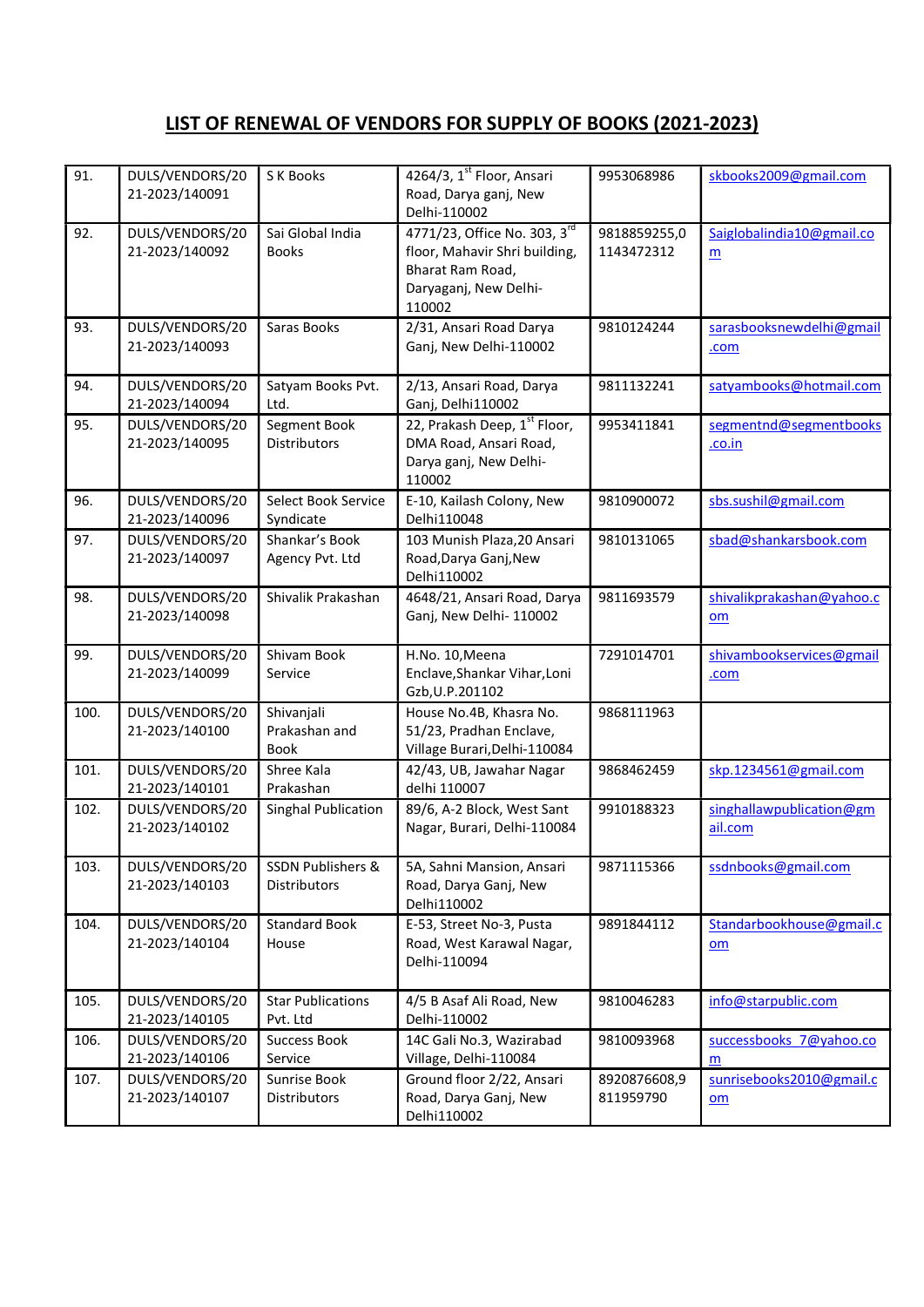| 91.  | DULS/VENDORS/20<br>21-2023/140091 | S K Books                                           | 4264/3, 1st Floor, Ansari<br>Road, Darya ganj, New<br>Delhi-110002                                                   | 9953068986                 | skbooks2009@gmail.com                                 |
|------|-----------------------------------|-----------------------------------------------------|----------------------------------------------------------------------------------------------------------------------|----------------------------|-------------------------------------------------------|
| 92.  | DULS/VENDORS/20<br>21-2023/140092 | Sai Global India<br><b>Books</b>                    | 4771/23, Office No. 303, 3rd<br>floor, Mahavir Shri building,<br>Bharat Ram Road,<br>Daryaganj, New Delhi-<br>110002 | 9818859255,0<br>1143472312 | Saiglobalindia10@gmail.co<br>m                        |
| 93.  | DULS/VENDORS/20<br>21-2023/140093 | Saras Books                                         | 2/31, Ansari Road Darya<br>Ganj, New Delhi-110002                                                                    | 9810124244                 | sarasbooksnewdelhi@gmail<br>.com                      |
| 94.  | DULS/VENDORS/20<br>21-2023/140094 | Satyam Books Pvt.<br>Ltd.                           | 2/13, Ansari Road, Darya<br>Ganj, Delhi110002                                                                        | 9811132241                 | satyambooks@hotmail.com                               |
| 95.  | DULS/VENDORS/20<br>21-2023/140095 | Segment Book<br>Distributors                        | 22, Prakash Deep, 1st Floor,<br>DMA Road, Ansari Road,<br>Darya ganj, New Delhi-<br>110002                           | 9953411841                 | segmentnd@segmentbooks<br>.co.in                      |
| 96.  | DULS/VENDORS/20<br>21-2023/140096 | Select Book Service<br>Syndicate                    | E-10, Kailash Colony, New<br>Delhi110048                                                                             | 9810900072                 | sbs.sushil@gmail.com                                  |
| 97.  | DULS/VENDORS/20<br>21-2023/140097 | Shankar's Book<br>Agency Pvt. Ltd                   | 103 Munish Plaza, 20 Ansari<br>Road, Darya Ganj, New<br>Delhi110002                                                  | 9810131065                 | sbad@shankarsbook.com                                 |
| 98.  | DULS/VENDORS/20<br>21-2023/140098 | Shivalik Prakashan                                  | 4648/21, Ansari Road, Darya<br>Ganj, New Delhi-110002                                                                | 9811693579                 | shivalikprakashan@yahoo.c<br>om                       |
| 99.  | DULS/VENDORS/20<br>21-2023/140099 | Shivam Book<br>Service                              | H.No. 10, Meena<br>Enclave, Shankar Vihar, Loni<br>Gzb, U.P. 201102                                                  | 7291014701                 | shivambookservices@gmail<br>.com                      |
| 100. | DULS/VENDORS/20<br>21-2023/140100 | Shivanjali<br>Prakashan and<br><b>Book</b>          | House No.4B, Khasra No.<br>51/23, Pradhan Enclave,<br>Village Burari, Delhi-110084                                   | 9868111963                 |                                                       |
| 101. | DULS/VENDORS/20<br>21-2023/140101 | Shree Kala<br>Prakashan                             | 42/43, UB, Jawahar Nagar<br>delhi 110007                                                                             | 9868462459                 | skp.1234561@gmail.com                                 |
| 102. | DULS/VENDORS/20<br>21-2023/140102 | Singhal Publication                                 | 89/6, A-2 Block, West Sant<br>Nagar, Burari, Delhi-110084                                                            | 9910188323                 | singhallawpublication@gm<br>ail.com                   |
| 103. | DULS/VENDORS/20<br>21-2023/140103 | <b>SSDN Publishers &amp;</b><br><b>Distributors</b> | 5A, Sahni Mansion, Ansari<br>Road, Darya Ganj, New<br>Delhi110002                                                    | 9871115366                 | ssdnbooks@gmail.com                                   |
| 104. | DULS/VENDORS/20<br>21-2023/140104 | <b>Standard Book</b><br>House                       | E-53, Street No-3, Pusta<br>Road, West Karawal Nagar,<br>Delhi-110094                                                | 9891844112                 | Standarbookhouse@gmail.c<br>om                        |
| 105. | DULS/VENDORS/20<br>21-2023/140105 | <b>Star Publications</b><br>Pvt. Ltd                | 4/5 B Asaf Ali Road, New<br>Delhi-110002                                                                             | 9810046283                 | info@starpublic.com                                   |
| 106. | DULS/VENDORS/20<br>21-2023/140106 | <b>Success Book</b><br>Service                      | 14C Gali No.3, Wazirabad<br>Village, Delhi-110084                                                                    | 9810093968                 | successbooks 7@yahoo.co<br>m                          |
| 107. | DULS/VENDORS/20<br>21-2023/140107 | Sunrise Book<br>Distributors                        | Ground floor 2/22, Ansari<br>Road, Darya Ganj, New<br>Delhi110002                                                    | 8920876608,9<br>811959790  | sunrisebooks2010@gmail.c<br>$\underline{\mathsf{om}}$ |